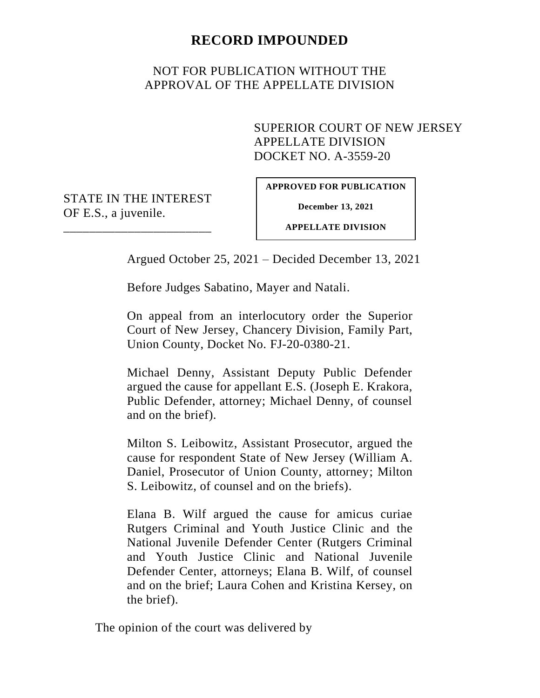# **RECORD IMPOUNDED**

# NOT FOR PUBLICATION WITHOUT THE APPROVAL OF THE APPELLATE DIVISION

## SUPERIOR COURT OF NEW JERSEY APPELLATE DIVISION DOCKET NO. A-3559-20

STATE IN THE INTEREST OF E.S., a juvenile.

\_\_\_\_\_\_\_\_\_\_\_\_\_\_\_\_\_\_\_\_\_\_\_

**APPROVED FOR PUBLICATION**

**December 13, 2021**

**APPELLATE DIVISION**

Argued October 25, 2021 – Decided December 13, 2021

Before Judges Sabatino, Mayer and Natali.

On appeal from an interlocutory order the Superior Court of New Jersey, Chancery Division, Family Part, Union County, Docket No. FJ-20-0380-21.

Michael Denny, Assistant Deputy Public Defender argued the cause for appellant E.S. (Joseph E. Krakora, Public Defender, attorney; Michael Denny, of counsel and on the brief).

Milton S. Leibowitz, Assistant Prosecutor, argued the cause for respondent State of New Jersey (William A. Daniel, Prosecutor of Union County, attorney; Milton S. Leibowitz, of counsel and on the briefs).

Elana B. Wilf argued the cause for amicus curiae Rutgers Criminal and Youth Justice Clinic and the National Juvenile Defender Center (Rutgers Criminal and Youth Justice Clinic and National Juvenile Defender Center, attorneys; Elana B. Wilf, of counsel and on the brief; Laura Cohen and Kristina Kersey, on the brief).

The opinion of the court was delivered by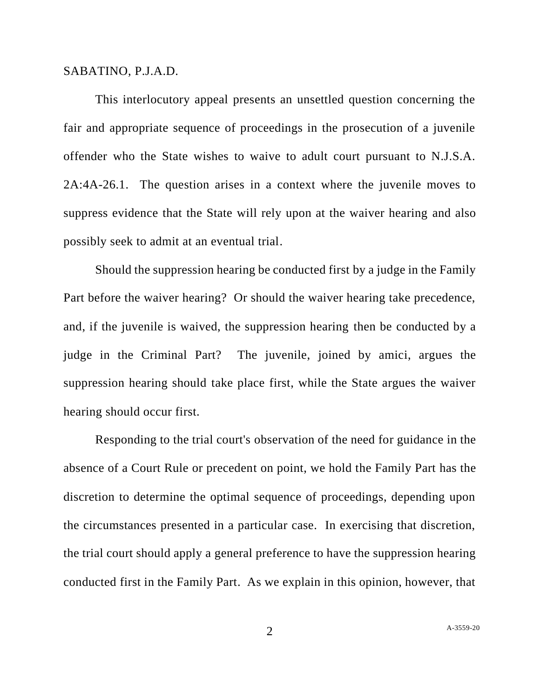#### SABATINO, P.J.A.D.

This interlocutory appeal presents an unsettled question concerning the fair and appropriate sequence of proceedings in the prosecution of a juvenile offender who the State wishes to waive to adult court pursuant to N.J.S.A. 2A:4A-26.1. The question arises in a context where the juvenile moves to suppress evidence that the State will rely upon at the waiver hearing and also possibly seek to admit at an eventual trial.

Should the suppression hearing be conducted first by a judge in the Family Part before the waiver hearing? Or should the waiver hearing take precedence, and, if the juvenile is waived, the suppression hearing then be conducted by a judge in the Criminal Part? The juvenile, joined by amici, argues the suppression hearing should take place first, while the State argues the waiver hearing should occur first.

Responding to the trial court's observation of the need for guidance in the absence of a Court Rule or precedent on point, we hold the Family Part has the discretion to determine the optimal sequence of proceedings, depending upon the circumstances presented in a particular case. In exercising that discretion, the trial court should apply a general preference to have the suppression hearing conducted first in the Family Part. As we explain in this opinion, however, that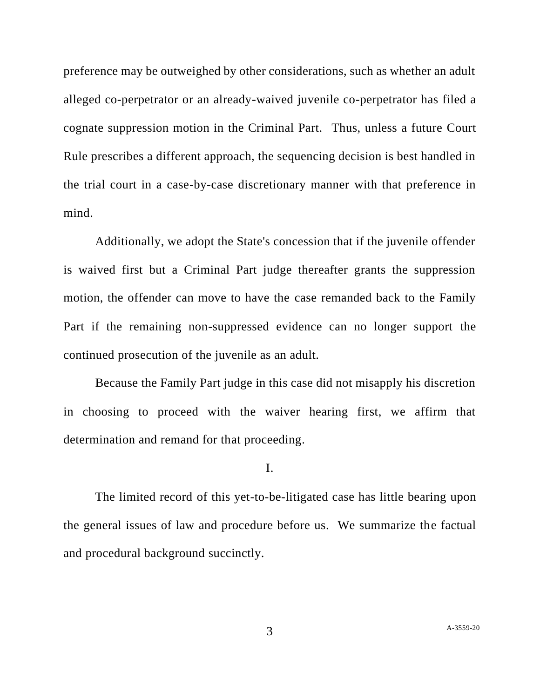preference may be outweighed by other considerations, such as whether an adult alleged co-perpetrator or an already-waived juvenile co-perpetrator has filed a cognate suppression motion in the Criminal Part. Thus, unless a future Court Rule prescribes a different approach, the sequencing decision is best handled in the trial court in a case-by-case discretionary manner with that preference in mind.

Additionally, we adopt the State's concession that if the juvenile offender is waived first but a Criminal Part judge thereafter grants the suppression motion, the offender can move to have the case remanded back to the Family Part if the remaining non-suppressed evidence can no longer support the continued prosecution of the juvenile as an adult.

Because the Family Part judge in this case did not misapply his discretion in choosing to proceed with the waiver hearing first, we affirm that determination and remand for that proceeding.

I.

The limited record of this yet-to-be-litigated case has little bearing upon the general issues of law and procedure before us. We summarize the factual and procedural background succinctly.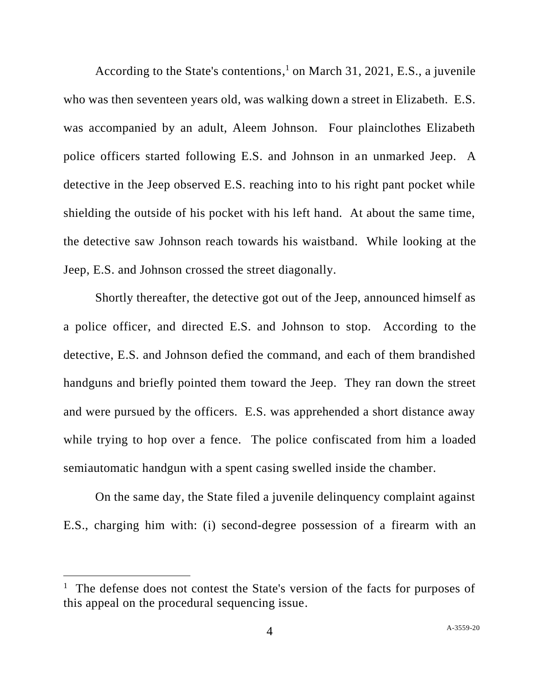According to the State's contentions, <sup>1</sup> on March 31, 2021, E.S., a juvenile who was then seventeen years old, was walking down a street in Elizabeth. E.S. was accompanied by an adult, Aleem Johnson. Four plainclothes Elizabeth police officers started following E.S. and Johnson in an unmarked Jeep. A detective in the Jeep observed E.S. reaching into to his right pant pocket while shielding the outside of his pocket with his left hand. At about the same time, the detective saw Johnson reach towards his waistband. While looking at the Jeep, E.S. and Johnson crossed the street diagonally.

Shortly thereafter, the detective got out of the Jeep, announced himself as a police officer, and directed E.S. and Johnson to stop. According to the detective, E.S. and Johnson defied the command, and each of them brandished handguns and briefly pointed them toward the Jeep. They ran down the street and were pursued by the officers. E.S. was apprehended a short distance away while trying to hop over a fence. The police confiscated from him a loaded semiautomatic handgun with a spent casing swelled inside the chamber.

On the same day, the State filed a juvenile delinquency complaint against E.S., charging him with: (i) second-degree possession of a firearm with an

<sup>&</sup>lt;sup>1</sup> The defense does not contest the State's version of the facts for purposes of this appeal on the procedural sequencing issue.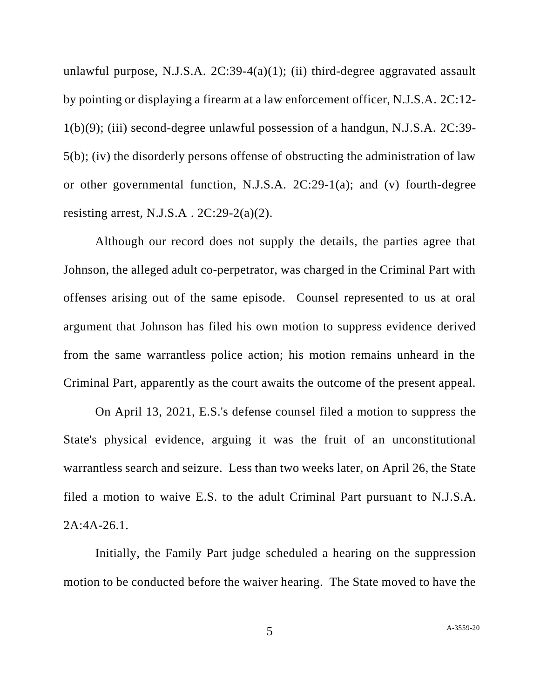unlawful purpose, N.J.S.A.  $2C:39-4(a)(1)$ ; (ii) third-degree aggravated assault by pointing or displaying a firearm at a law enforcement officer, N.J.S.A. 2C:12- 1(b)(9); (iii) second-degree unlawful possession of a handgun, N.J.S.A. 2C:39- 5(b); (iv) the disorderly persons offense of obstructing the administration of law or other governmental function, N.J.S.A. 2C:29-1(a); and (v) fourth-degree resisting arrest, N.J.S.A.  $2C:29-2(a)(2)$ .

Although our record does not supply the details, the parties agree that Johnson, the alleged adult co-perpetrator, was charged in the Criminal Part with offenses arising out of the same episode. Counsel represented to us at oral argument that Johnson has filed his own motion to suppress evidence derived from the same warrantless police action; his motion remains unheard in the Criminal Part, apparently as the court awaits the outcome of the present appeal.

On April 13, 2021, E.S.'s defense counsel filed a motion to suppress the State's physical evidence, arguing it was the fruit of an unconstitutional warrantless search and seizure. Less than two weeks later, on April 26, the State filed a motion to waive E.S. to the adult Criminal Part pursuant to N.J.S.A. 2A:4A-26.1.

Initially, the Family Part judge scheduled a hearing on the suppression motion to be conducted before the waiver hearing. The State moved to have the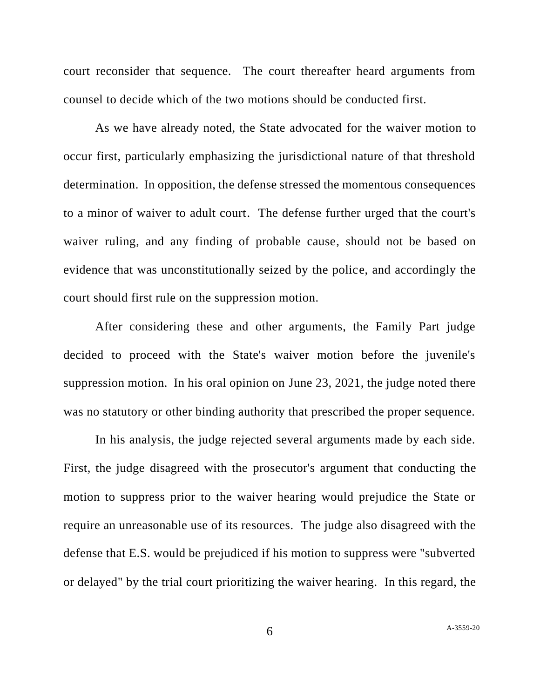court reconsider that sequence. The court thereafter heard arguments from counsel to decide which of the two motions should be conducted first.

As we have already noted, the State advocated for the waiver motion to occur first, particularly emphasizing the jurisdictional nature of that threshold determination. In opposition, the defense stressed the momentous consequences to a minor of waiver to adult court. The defense further urged that the court's waiver ruling, and any finding of probable cause, should not be based on evidence that was unconstitutionally seized by the police, and accordingly the court should first rule on the suppression motion.

After considering these and other arguments, the Family Part judge decided to proceed with the State's waiver motion before the juvenile's suppression motion. In his oral opinion on June 23, 2021, the judge noted there was no statutory or other binding authority that prescribed the proper sequence.

In his analysis, the judge rejected several arguments made by each side. First, the judge disagreed with the prosecutor's argument that conducting the motion to suppress prior to the waiver hearing would prejudice the State or require an unreasonable use of its resources. The judge also disagreed with the defense that E.S. would be prejudiced if his motion to suppress were "subverted or delayed" by the trial court prioritizing the waiver hearing. In this regard, the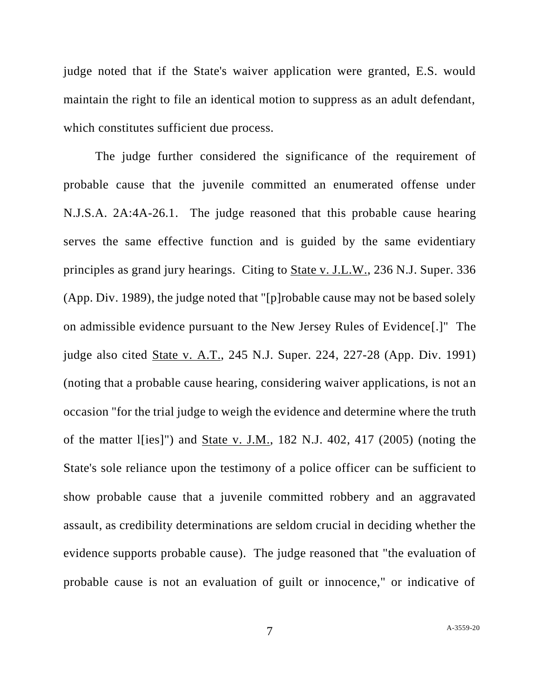judge noted that if the State's waiver application were granted, E.S. would maintain the right to file an identical motion to suppress as an adult defendant, which constitutes sufficient due process.

The judge further considered the significance of the requirement of probable cause that the juvenile committed an enumerated offense under N.J.S.A. 2A:4A-26.1. The judge reasoned that this probable cause hearing serves the same effective function and is guided by the same evidentiary principles as grand jury hearings. Citing to State v. J.L.W., 236 N.J. Super. 336 (App. Div. 1989), the judge noted that "[p]robable cause may not be based solely on admissible evidence pursuant to the New Jersey Rules of Evidence[.]" The judge also cited State v. A.T., 245 N.J. Super. 224, 227-28 (App. Div. 1991) (noting that a probable cause hearing, considering waiver applications, is not an occasion "for the trial judge to weigh the evidence and determine where the truth of the matter l[ies]") and <u>State v. J.M.</u>, 182 N.J. 402, 417 (2005) (noting the State's sole reliance upon the testimony of a police officer can be sufficient to show probable cause that a juvenile committed robbery and an aggravated assault, as credibility determinations are seldom crucial in deciding whether the evidence supports probable cause). The judge reasoned that "the evaluation of probable cause is not an evaluation of guilt or innocence," or indicative of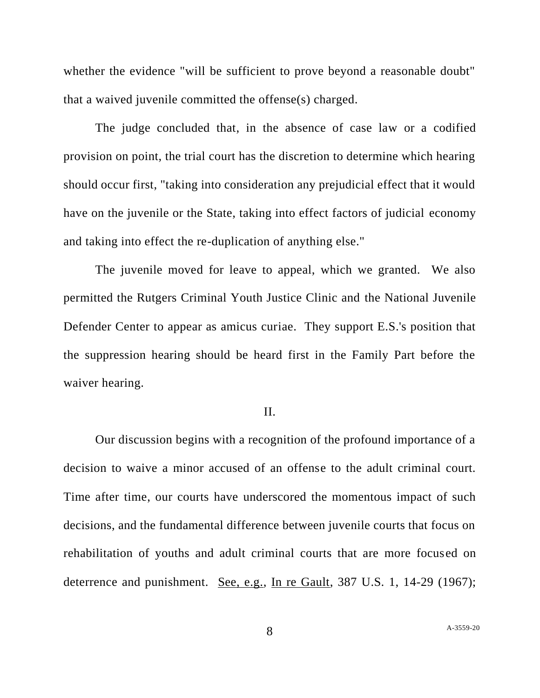whether the evidence "will be sufficient to prove beyond a reasonable doubt" that a waived juvenile committed the offense(s) charged.

The judge concluded that, in the absence of case law or a codified provision on point, the trial court has the discretion to determine which hearing should occur first, "taking into consideration any prejudicial effect that it would have on the juvenile or the State, taking into effect factors of judicial economy and taking into effect the re-duplication of anything else."

The juvenile moved for leave to appeal, which we granted. We also permitted the Rutgers Criminal Youth Justice Clinic and the National Juvenile Defender Center to appear as amicus curiae. They support E.S.'s position that the suppression hearing should be heard first in the Family Part before the waiver hearing.

### II.

Our discussion begins with a recognition of the profound importance of a decision to waive a minor accused of an offense to the adult criminal court. Time after time, our courts have underscored the momentous impact of such decisions, and the fundamental difference between juvenile courts that focus on rehabilitation of youths and adult criminal courts that are more focused on deterrence and punishment. See, e.g., In re Gault, 387 U.S. 1, 14-29 (1967);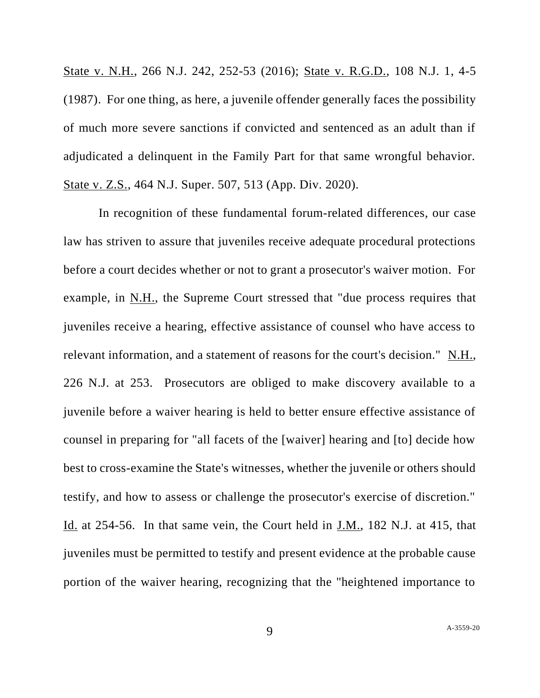State v. N.H., 266 N.J. 242, 252-53 (2016); State v. R.G.D., 108 N.J. 1, 4-5 (1987). For one thing, as here, a juvenile offender generally faces the possibility of much more severe sanctions if convicted and sentenced as an adult than if adjudicated a delinquent in the Family Part for that same wrongful behavior. State v. Z.S., 464 N.J. Super. 507, 513 (App. Div. 2020).

In recognition of these fundamental forum-related differences, our case law has striven to assure that juveniles receive adequate procedural protections before a court decides whether or not to grant a prosecutor's waiver motion. For example, in N.H., the Supreme Court stressed that "due process requires that juveniles receive a hearing, effective assistance of counsel who have access to relevant information, and a statement of reasons for the court's decision." N.H., 226 N.J. at 253. Prosecutors are obliged to make discovery available to a juvenile before a waiver hearing is held to better ensure effective assistance of counsel in preparing for "all facets of the [waiver] hearing and [to] decide how best to cross-examine the State's witnesses, whether the juvenile or others should testify, and how to assess or challenge the prosecutor's exercise of discretion." Id. at 254-56. In that same vein, the Court held in <u>J.M.</u>, 182 N.J. at 415, that juveniles must be permitted to testify and present evidence at the probable cause portion of the waiver hearing, recognizing that the "heightened importance to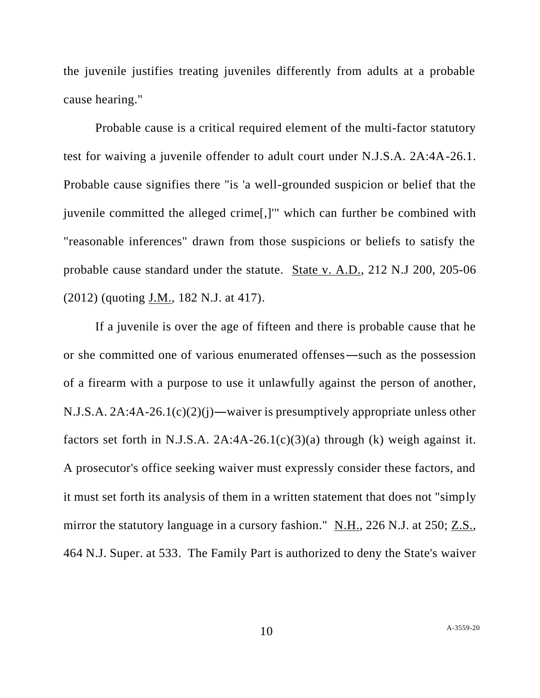the juvenile justifies treating juveniles differently from adults at a probable cause hearing."

Probable cause is a critical required element of the multi-factor statutory test for waiving a juvenile offender to adult court under N.J.S.A. 2A:4A-26.1. Probable cause signifies there "is 'a well-grounded suspicion or belief that the juvenile committed the alleged crime[,]'" which can further be combined with "reasonable inferences" drawn from those suspicions or beliefs to satisfy the probable cause standard under the statute. State v. A.D., 212 N.J 200, 205-06 (2012) (quoting J.M., 182 N.J. at 417).

If a juvenile is over the age of fifteen and there is probable cause that he or she committed one of various enumerated offenses―such as the possession of a firearm with a purpose to use it unlawfully against the person of another, N.J.S.A. 2A:4A-26.1(c)(2)(j)―waiver is presumptively appropriate unless other factors set forth in N.J.S.A.  $2A:4A-26.1(c)(3)(a)$  through (k) weigh against it. A prosecutor's office seeking waiver must expressly consider these factors, and it must set forth its analysis of them in a written statement that does not "simply mirror the statutory language in a cursory fashion." N.H., 226 N.J. at 250; Z.S., 464 N.J. Super. at 533. The Family Part is authorized to deny the State's waiver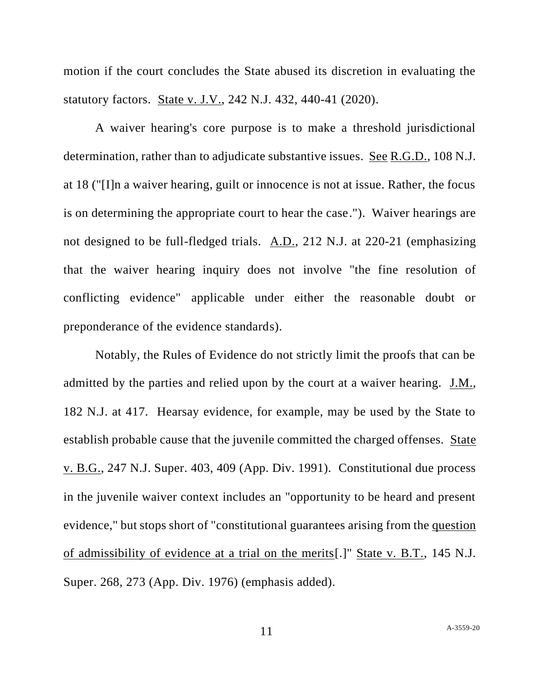motion if the court concludes the State abused its discretion in evaluating the statutory factors. State v. J.V., 242 N.J. 432, 440-41 (2020).

A waiver hearing's core purpose is to make a threshold jurisdictional determination, rather than to adjudicate substantive issues. See R.G.D., 108 N.J. at 18 ("[I]n a waiver hearing, guilt or innocence is not at issue. Rather, the focus is on determining the appropriate court to hear the case."). Waiver hearings are not designed to be full-fledged trials. A.D., 212 N.J. at 220-21 (emphasizing that the waiver hearing inquiry does not involve "the fine resolution of conflicting evidence" applicable under either the reasonable doubt or preponderance of the evidence standards).

Notably, the Rules of Evidence do not strictly limit the proofs that can be admitted by the parties and relied upon by the court at a waiver hearing. J.M., 182 N.J. at 417. Hearsay evidence, for example, may be used by the State to establish probable cause that the juvenile committed the charged offenses. State v. B.G., 247 N.J. Super. 403, 409 (App. Div. 1991). Constitutional due process in the juvenile waiver context includes an "opportunity to be heard and present evidence," but stops short of "constitutional guarantees arising from the question of admissibility of evidence at a trial on the merits[.]" State v. B.T., 145 N.J. Super. 268, 273 (App. Div. 1976) (emphasis added).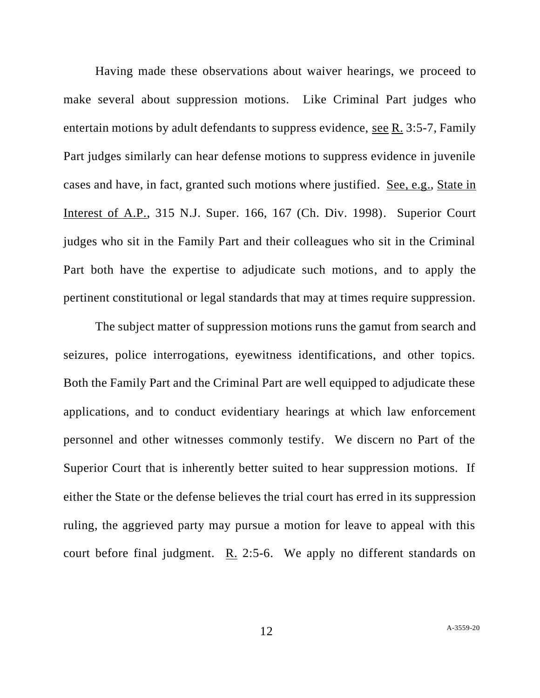Having made these observations about waiver hearings, we proceed to make several about suppression motions. Like Criminal Part judges who entertain motions by adult defendants to suppress evidence, see R. 3:5-7, Family Part judges similarly can hear defense motions to suppress evidence in juvenile cases and have, in fact, granted such motions where justified. See, e.g., State in Interest of A.P., 315 N.J. Super. 166, 167 (Ch. Div. 1998). Superior Court judges who sit in the Family Part and their colleagues who sit in the Criminal Part both have the expertise to adjudicate such motions, and to apply the pertinent constitutional or legal standards that may at times require suppression.

The subject matter of suppression motions runs the gamut from search and seizures, police interrogations, eyewitness identifications, and other topics. Both the Family Part and the Criminal Part are well equipped to adjudicate these applications, and to conduct evidentiary hearings at which law enforcement personnel and other witnesses commonly testify. We discern no Part of the Superior Court that is inherently better suited to hear suppression motions. If either the State or the defense believes the trial court has erred in its suppression ruling, the aggrieved party may pursue a motion for leave to appeal with this court before final judgment. R. 2:5-6. We apply no different standards on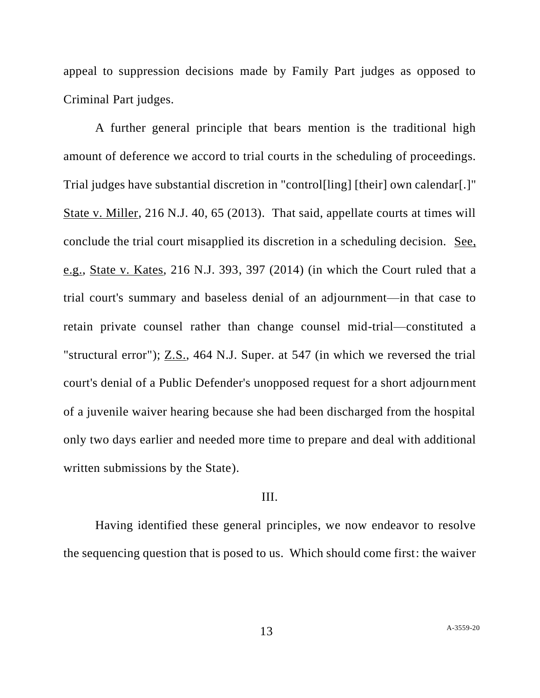appeal to suppression decisions made by Family Part judges as opposed to Criminal Part judges.

A further general principle that bears mention is the traditional high amount of deference we accord to trial courts in the scheduling of proceedings. Trial judges have substantial discretion in "control[ling] [their] own calendar[.]" State v. Miller, 216 N.J. 40, 65 (2013). That said, appellate courts at times will conclude the trial court misapplied its discretion in a scheduling decision. See, e.g., State v. Kates, 216 N.J. 393, 397 (2014) (in which the Court ruled that a trial court's summary and baseless denial of an adjournment—in that case to retain private counsel rather than change counsel mid-trial—constituted a "structural error"); Z.S., 464 N.J. Super. at 547 (in which we reversed the trial court's denial of a Public Defender's unopposed request for a short adjournment of a juvenile waiver hearing because she had been discharged from the hospital only two days earlier and needed more time to prepare and deal with additional written submissions by the State).

### III.

Having identified these general principles, we now endeavor to resolve the sequencing question that is posed to us. Which should come first: the waiver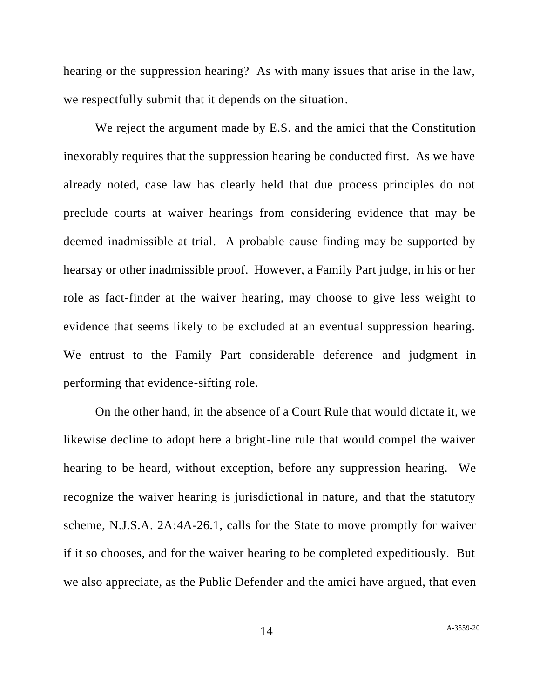hearing or the suppression hearing? As with many issues that arise in the law, we respectfully submit that it depends on the situation.

We reject the argument made by E.S. and the amici that the Constitution inexorably requires that the suppression hearing be conducted first. As we have already noted, case law has clearly held that due process principles do not preclude courts at waiver hearings from considering evidence that may be deemed inadmissible at trial. A probable cause finding may be supported by hearsay or other inadmissible proof. However, a Family Part judge, in his or her role as fact-finder at the waiver hearing, may choose to give less weight to evidence that seems likely to be excluded at an eventual suppression hearing. We entrust to the Family Part considerable deference and judgment in performing that evidence-sifting role.

On the other hand, in the absence of a Court Rule that would dictate it, we likewise decline to adopt here a bright-line rule that would compel the waiver hearing to be heard, without exception, before any suppression hearing. We recognize the waiver hearing is jurisdictional in nature, and that the statutory scheme, N.J.S.A. 2A:4A-26.1, calls for the State to move promptly for waiver if it so chooses, and for the waiver hearing to be completed expeditiously. But we also appreciate, as the Public Defender and the amici have argued, that even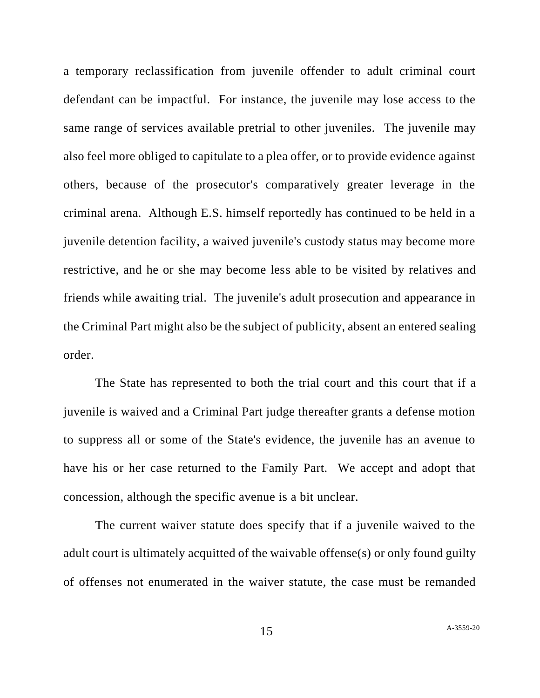a temporary reclassification from juvenile offender to adult criminal court defendant can be impactful. For instance, the juvenile may lose access to the same range of services available pretrial to other juveniles. The juvenile may also feel more obliged to capitulate to a plea offer, or to provide evidence against others, because of the prosecutor's comparatively greater leverage in the criminal arena. Although E.S. himself reportedly has continued to be held in a juvenile detention facility, a waived juvenile's custody status may become more restrictive, and he or she may become less able to be visited by relatives and friends while awaiting trial. The juvenile's adult prosecution and appearance in the Criminal Part might also be the subject of publicity, absent an entered sealing order.

The State has represented to both the trial court and this court that if a juvenile is waived and a Criminal Part judge thereafter grants a defense motion to suppress all or some of the State's evidence, the juvenile has an avenue to have his or her case returned to the Family Part. We accept and adopt that concession, although the specific avenue is a bit unclear.

The current waiver statute does specify that if a juvenile waived to the adult court is ultimately acquitted of the waivable offense(s) or only found guilty of offenses not enumerated in the waiver statute, the case must be remanded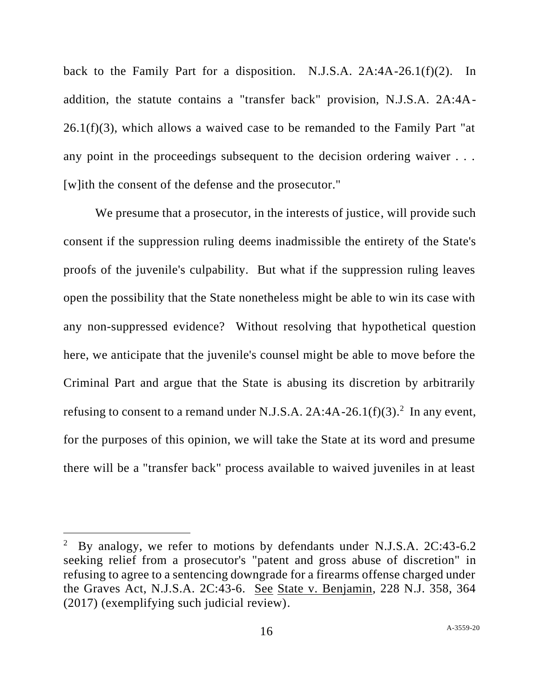back to the Family Part for a disposition. N.J.S.A. 2A:4A-26.1(f)(2). In addition, the statute contains a "transfer back" provision, N.J.S.A. 2A:4A- $26.1(f)(3)$ , which allows a waived case to be remanded to the Family Part "at any point in the proceedings subsequent to the decision ordering waiver . . . [w]ith the consent of the defense and the prosecutor."

We presume that a prosecutor, in the interests of justice, will provide such consent if the suppression ruling deems inadmissible the entirety of the State's proofs of the juvenile's culpability. But what if the suppression ruling leaves open the possibility that the State nonetheless might be able to win its case with any non-suppressed evidence? Without resolving that hypothetical question here, we anticipate that the juvenile's counsel might be able to move before the Criminal Part and argue that the State is abusing its discretion by arbitrarily refusing to consent to a remand under N.J.S.A.  $2A:4A-26.1(f)(3).^{2}$  In any event, for the purposes of this opinion, we will take the State at its word and presume there will be a "transfer back" process available to waived juveniles in at least

 $2$  By analogy, we refer to motions by defendants under N.J.S.A. 2C:43-6.2 seeking relief from a prosecutor's "patent and gross abuse of discretion" in refusing to agree to a sentencing downgrade for a firearms offense charged under the Graves Act, N.J.S.A. 2C:43-6. See State v. Benjamin, 228 N.J. 358, 364 (2017) (exemplifying such judicial review).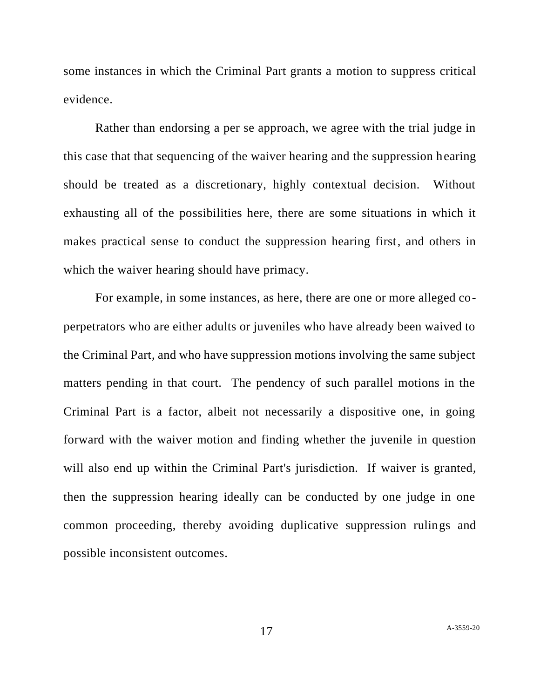some instances in which the Criminal Part grants a motion to suppress critical evidence.

Rather than endorsing a per se approach, we agree with the trial judge in this case that that sequencing of the waiver hearing and the suppression hearing should be treated as a discretionary, highly contextual decision. Without exhausting all of the possibilities here, there are some situations in which it makes practical sense to conduct the suppression hearing first, and others in which the waiver hearing should have primacy.

For example, in some instances, as here, there are one or more alleged coperpetrators who are either adults or juveniles who have already been waived to the Criminal Part, and who have suppression motions involving the same subject matters pending in that court. The pendency of such parallel motions in the Criminal Part is a factor, albeit not necessarily a dispositive one, in going forward with the waiver motion and finding whether the juvenile in question will also end up within the Criminal Part's jurisdiction. If waiver is granted, then the suppression hearing ideally can be conducted by one judge in one common proceeding, thereby avoiding duplicative suppression rulings and possible inconsistent outcomes.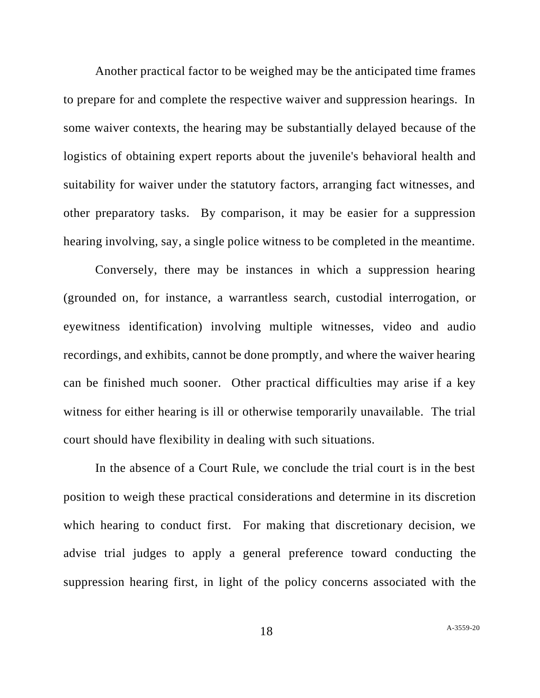Another practical factor to be weighed may be the anticipated time frames to prepare for and complete the respective waiver and suppression hearings. In some waiver contexts, the hearing may be substantially delayed because of the logistics of obtaining expert reports about the juvenile's behavioral health and suitability for waiver under the statutory factors, arranging fact witnesses, and other preparatory tasks. By comparison, it may be easier for a suppression hearing involving, say, a single police witness to be completed in the meantime.

Conversely, there may be instances in which a suppression hearing (grounded on, for instance, a warrantless search, custodial interrogation, or eyewitness identification) involving multiple witnesses, video and audio recordings, and exhibits, cannot be done promptly, and where the waiver hearing can be finished much sooner. Other practical difficulties may arise if a key witness for either hearing is ill or otherwise temporarily unavailable. The trial court should have flexibility in dealing with such situations.

In the absence of a Court Rule, we conclude the trial court is in the best position to weigh these practical considerations and determine in its discretion which hearing to conduct first. For making that discretionary decision, we advise trial judges to apply a general preference toward conducting the suppression hearing first, in light of the policy concerns associated with the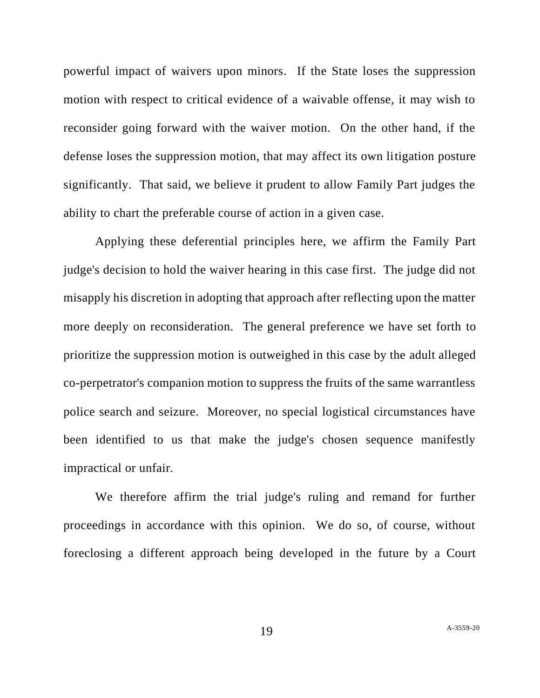powerful impact of waivers upon minors. If the State loses the suppression motion with respect to critical evidence of a waivable offense, it may wish to reconsider going forward with the waiver motion. On the other hand, if the defense loses the suppression motion, that may affect its own litigation posture significantly. That said, we believe it prudent to allow Family Part judges the ability to chart the preferable course of action in a given case.

Applying these deferential principles here, we affirm the Family Part judge's decision to hold the waiver hearing in this case first. The judge did not misapply his discretion in adopting that approach after reflecting upon the matter more deeply on reconsideration. The general preference we have set forth to prioritize the suppression motion is outweighed in this case by the adult alleged co-perpetrator's companion motion to suppress the fruits of the same warrantless police search and seizure. Moreover, no special logistical circumstances have been identified to us that make the judge's chosen sequence manifestly impractical or unfair.

We therefore affirm the trial judge's ruling and remand for further proceedings in accordance with this opinion. We do so, of course, without foreclosing a different approach being developed in the future by a Court